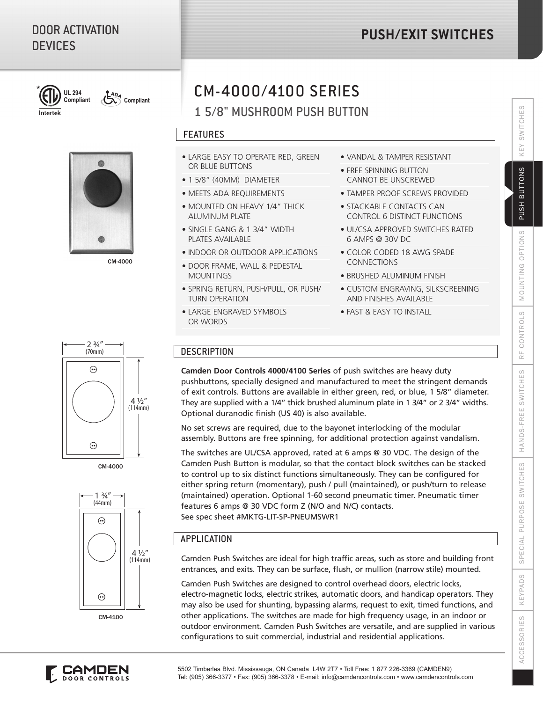# DOOR ACTIVATION **DEVICES**

# **PUSH/EXIT SWITCHES**



 $\frac{AD_A}{A}$ **Compliant**

Intertek

CM-4000

# CM-4000/4100 SERIES

# 1 5/8" MUSHROOM PUSH BUTTON

### FEATURES

- LARGE EASY TO OPERATE RED, GREEN OR BLUE BUTTONS
- 1 5/8" (40MM) DIAMETER
- MEETS ADA REQUIREMENTS
- MOUNTED ON HEAVY 1/4" THICK ALUMINUM PLATE
- SINGLE GANG & 1 3/4" WIDTH PLATES AVAILABLE
- INDOOR OR OUTDOOR APPLICATIONS
- DOOR FRAME, WALL & PEDESTAL **MOUNTINGS**
- SPRING RETURN, PUSH/PULL, OR PUSH/ TURN OPERATION
- LARGE ENGRAVED SYMBOLS OR WORDS
- VANDAL & TAMPER RESISTANT
- FREE SPINNING BUTTON CANNOT BE UNSCREWED
- TAMPER PROOF SCREWS PROVIDED
- STACKABLE CONTACTS CAN CONTROL 6 DISTINCT FUNCTIONS
- UL/CSA APPROVED SWITCHES RATED 6 AMPS @ 30V DC
- COLOR CODED 18 AWG SPADE CONNECTIONS
- BRUSHED ALUMINUM FINISH
- CUSTOM ENGRAVING, SILKSCREENING AND FINISHES AVAILABLE
- FAST & EASY TO INSTALL

## **DESCRIPTION**

**Camden Door Controls 4000/4100 Series** of push switches are heavy duty pushbuttons, specially designed and manufactured to meet the stringent demands of exit controls. Buttons are available in either green, red, or blue, 1 5/8" diameter. They are supplied with a 1/4" thick brushed aluminum plate in 1 3/4" or 2 3/4" widths. Optional duranodic finish (US 40) is also available.

No set screws are required, due to the bayonet interlocking of the modular assembly. Buttons are free spinning, for additional protection against vandalism.

The switches are UL/CSA approved, rated at 6 amps @ 30 VDC. The design of the Camden Push Button is modular, so that the contact block switches can be stacked to control up to six distinct functions simultaneously. They can be configured for either spring return (momentary), push / pull (maintained), or push/turn to release (maintained) operation. Optional 1-60 second pneumatic timer. Pneumatic timer features 6 amps @ 30 VDC form Z (N/O and N/C) contacts. See spec sheet #MKTG-LIT-SP-PNEUMSWR1

## APPLICATION

Camden Push Switches are ideal for high traffic areas, such as store and building front entrances, and exits. They can be surface, flush, or mullion (narrow stile) mounted.

Camden Push Switches are designed to control overhead doors, electric locks, electro-magnetic locks, electric strikes, automatic doors, and handicap operators. They may also be used for shunting, bypassing alarms, request to exit, timed functions, and other applications. The switches are made for high frequency usage, in an indoor or outdoor environment. Camden Push Switches are versatile, and are supplied in various configurations to suit commercial, industrial and residential applications.



CM-4000



CM-4100



SPECIAL

KEYPADS

**ACCESSORIES** 

SWITCHES

**NEV** 

**BUTTONS** 

**PUSH**